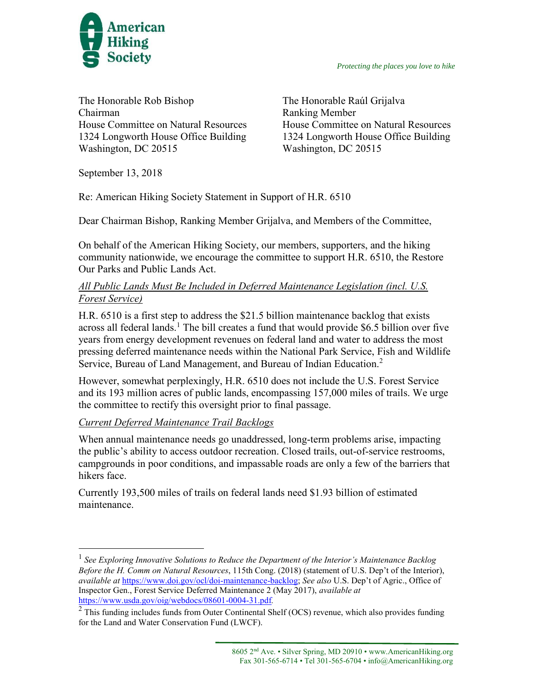

*Protecting the places you love to hike*

The Honorable Rob Bishop Chairman House Committee on Natural Resources 1324 Longworth House Office Building Washington, DC 20515

The Honorable Raúl Grijalva Ranking Member House Committee on Natural Resources 1324 Longworth House Office Building Washington, DC 20515

September 13, 2018

 $\overline{a}$ 

Re: American Hiking Society Statement in Support of H.R. 6510

Dear Chairman Bishop, Ranking Member Grijalva, and Members of the Committee,

On behalf of the American Hiking Society, our members, supporters, and the hiking community nationwide, we encourage the committee to support H.R. 6510, the Restore Our Parks and Public Lands Act.

## *All Public Lands Must Be Included in Deferred Maintenance Legislation (incl. U.S. Forest Service)*

H.R. 6510 is a first step to address the \$21.5 billion maintenance backlog that exists across all federal lands.<sup>1</sup> The bill creates a fund that would provide \$6.5 billion over five years from energy development revenues on federal land and water to address the most pressing deferred maintenance needs within the National Park Service, Fish and Wildlife Service, Bureau of Land Management, and Bureau of Indian Education.<sup>2</sup>

However, somewhat perplexingly, H.R. 6510 does not include the U.S. Forest Service and its 193 million acres of public lands, encompassing 157,000 miles of trails. We urge the committee to rectify this oversight prior to final passage.

## *Current Deferred Maintenance Trail Backlogs*

When annual maintenance needs go unaddressed, long-term problems arise, impacting the public's ability to access outdoor recreation. Closed trails, out-of-service restrooms, campgrounds in poor conditions, and impassable roads are only a few of the barriers that hikers face.

Currently 193,500 miles of trails on federal lands need \$1.93 billion of estimated maintenance.

<sup>&</sup>lt;sup>1</sup> See Exploring Innovative Solutions to Reduce the Department of the Interior's Maintenance Backlog *Before the H. Comm on Natural Resources*, 115th Cong. (2018) (statement of U.S. Dep't of the Interior), *available at* [https://www.doi.gov/ocl/doi-maintenance-backlog;](https://www.doi.gov/ocl/doi-maintenance-backlog) *See also* U.S. Dep't of Agric., Office of Inspector Gen., Forest Service Deferred Maintenance 2 (May 2017), *available at*  <https://www.usda.gov/oig/webdocs/08601-0004-31.pdf>*.* 

<sup>&</sup>lt;sup>2</sup> This funding includes funds from Outer Continental Shelf (OCS) revenue, which also provides funding for the Land and Water Conservation Fund (LWCF).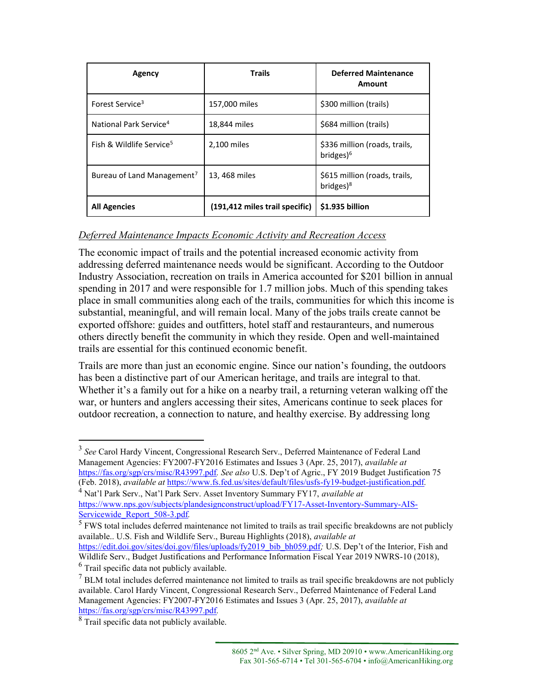| Agency                                 | <b>Trails</b>                  | <b>Deferred Maintenance</b><br>Amount                  |
|----------------------------------------|--------------------------------|--------------------------------------------------------|
| Forest Service <sup>3</sup>            | 157,000 miles                  | \$300 million (trails)                                 |
| National Park Service <sup>4</sup>     | 18,844 miles                   | \$684 million (trails)                                 |
| Fish & Wildlife Service <sup>5</sup>   | 2,100 miles                    | \$336 million (roads, trails,<br>bridges) <sup>6</sup> |
| Bureau of Land Management <sup>7</sup> | 13, 468 miles                  | \$615 million (roads, trails,<br>bridges) <sup>8</sup> |
| <b>All Agencies</b>                    | (191,412 miles trail specific) | \$1.935 billion                                        |

## *Deferred Maintenance Impacts Economic Activity and Recreation Access*

The economic impact of trails and the potential increased economic activity from addressing deferred maintenance needs would be significant. According to the Outdoor Industry Association, recreation on trails in America accounted for \$201 billion in annual spending in 2017 and were responsible for 1.7 million jobs. Much of this spending takes place in small communities along each of the trails, communities for which this income is substantial, meaningful, and will remain local. Many of the jobs trails create cannot be exported offshore: guides and outfitters, hotel staff and restauranteurs, and numerous others directly benefit the community in which they reside. Open and well-maintained trails are essential for this continued economic benefit.

Trails are more than just an economic engine. Since our nation's founding, the outdoors has been a distinctive part of our American heritage, and trails are integral to that. Whether it's a family out for a hike on a nearby trail, a returning veteran walking off the war, or hunters and anglers accessing their sites, Americans continue to seek places for outdoor recreation, a connection to nature, and healthy exercise. By addressing long

<sup>5</sup> FWS total includes deferred maintenance not limited to trails as trail specific breakdowns are not publicly available.. U.S. Fish and Wildlife Serv., Bureau Highlights (2018), *available at* 

[https://edit.doi.gov/sites/doi.gov/files/uploads/fy2019\\_bib\\_bh059.pdf](https://edit.doi.gov/sites/doi.gov/files/uploads/fy2019_bib_bh059.pdf); U.S. Dep't of the Interior, Fish and Wildlife Serv., Budget Justifications and Performance Information Fiscal Year 2019 NWRS-10 (2018), <sup>6</sup> Trail specific data not publicly available.

 $\overline{a}$ 

<sup>3</sup> *See* Carol Hardy Vincent, Congressional Research Serv., Deferred Maintenance of Federal Land Management Agencies: FY2007-FY2016 Estimates and Issues 3 (Apr. 25, 2017), *available at*  <https://fas.org/sgp/crs/misc/R43997.pdf>*. See also* U.S. Dep't of Agric., FY 2019 Budget Justification 75 (Feb. 2018), *available at* <https://www.fs.fed.us/sites/default/files/usfs-fy19-budget-justification.pdf>*.* 

<sup>4</sup> Nat'l Park Serv., Nat'l Park Serv. Asset Inventory Summary FY17, *available at*  [https://www.nps.gov/subjects/plandesignconstruct/upload/FY17-Asset-Inventory-Summary-AIS-](https://www.nps.gov/subjects/plandesignconstruct/upload/FY17-Asset-Inventory-Summary-AIS-Servicewide_Report_508-3.pdf)[Servicewide\\_Report\\_508-3.pdf](https://www.nps.gov/subjects/plandesignconstruct/upload/FY17-Asset-Inventory-Summary-AIS-Servicewide_Report_508-3.pdf)*.*

<sup>&</sup>lt;sup>7</sup> BLM total includes deferred maintenance not limited to trails as trail specific breakdowns are not publicly available. Carol Hardy Vincent, Congressional Research Serv., Deferred Maintenance of Federal Land Management Agencies: FY2007-FY2016 Estimates and Issues 3 (Apr. 25, 2017), *available at*  <https://fas.org/sgp/crs/misc/R43997.pdf>*.*

<sup>&</sup>lt;sup>8</sup> Trail specific data not publicly available.